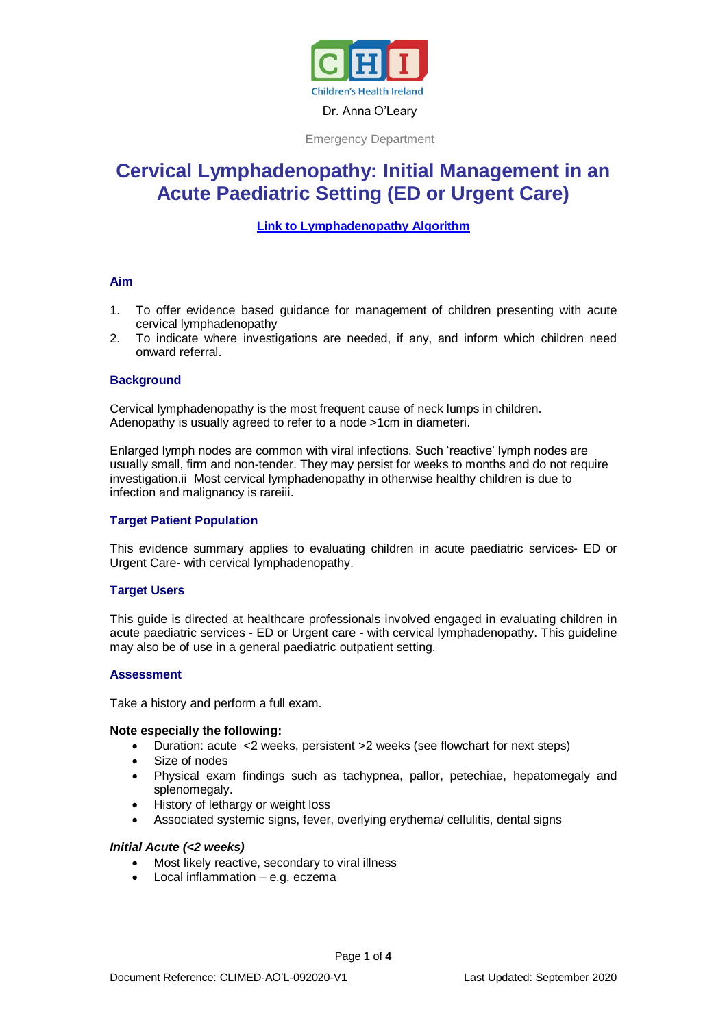

Emergency Department

# **Cervical Lymphadenopathy: Initial Management in an Acute Paediatric Setting (ED or Urgent Care)**

# **[Link to Lymphadenopathy Algorithm](https://www.olchc.ie/Healthcare-Professionals/Clinical-Guidelines/Clinical-guidelines-Hyperlink-files/Cervical-Lymphadenopathy-Algorithm.pdf)**

#### **Aim**

- 1. To offer evidence based guidance for management of children presenting with acute cervical lymphadenopathy
- 2. To indicate where investigations are needed, if any, and inform which children need onward referral.

## **Background**

Cervical lymphadenopathy is the most frequent cause of neck lumps in children. Adenopathy is usually agreed to refer to a node >1cm in diameteri.

Enlarged lymph nodes are common with viral infections. Such 'reactive' lymph nodes are usually small, firm and non-tender. They may persist for weeks to months and do not require investigation.ii Most cervical lymphadenopathy in otherwise healthy children is due to infection and malignancy is rareiii.

## **Target Patient Population**

This evidence summary applies to evaluating children in acute paediatric services- ED or Urgent Care- with cervical lymphadenopathy.

## **Target Users**

This guide is directed at healthcare professionals involved engaged in evaluating children in acute paediatric services - ED or Urgent care - with cervical lymphadenopathy. This guideline may also be of use in a general paediatric outpatient setting.

#### **Assessment**

Take a history and perform a full exam.

#### **Note especially the following:**

- Duration: acute <2 weeks, persistent >2 weeks (see flowchart for next steps)
- Size of nodes
- Physical exam findings such as tachypnea, pallor, petechiae, hepatomegaly and splenomegaly.
- History of lethargy or weight loss
- Associated systemic signs, fever, overlying erythema/ cellulitis, dental signs

## *Initial Acute (<2 weeks)*

- Most likely reactive, secondary to viral illness
- Local inflammation e.g. eczema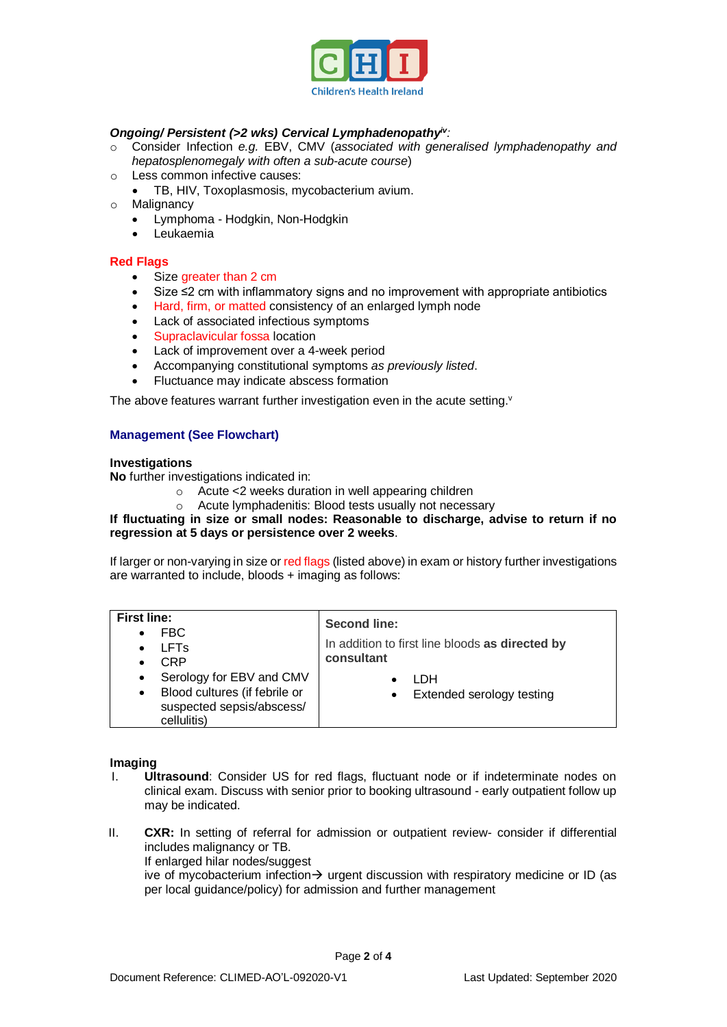

## *Ongoing/ Persistent (>2 wks) Cervical Lymphadenopathyiv:*

- o Consider Infection *e.g.* EBV, CMV (*associated with generalised lymphadenopathy and hepatosplenomegaly with often a sub-acute course*)
- o Less common infective causes:
	- TB, HIV, Toxoplasmosis, mycobacterium avium.
- o Malignancy
	- Lymphoma Hodgkin, Non-Hodgkin
	- Leukaemia

### **Red Flags**

- Size greater than 2 cm
- Size ≤2 cm with inflammatory signs and no improvement with appropriate antibiotics
- Hard, firm, or matted consistency of an enlarged lymph node
- Lack of associated infectious symptoms
- Supraclavicular fossa location
- Lack of improvement over a 4-week period
- Accompanying constitutional symptoms *as previously listed*.
- Fluctuance may indicate abscess formation

The above features warrant further investigation even in the acute setting.<sup>v</sup>

## **Management (See Flowchart)**

#### **Investigations**

**No** further investigations indicated in:

- o Acute <2 weeks duration in well appearing children
- o Acute lymphadenitis: Blood tests usually not necessary

## **If fluctuating in size or small nodes: Reasonable to discharge, advise to return if no regression at 5 days or persistence over 2 weeks**.

If larger or non-varying in size or red flags (listed above) in exam or history further investigations are warranted to include, bloods + imaging as follows:

| <b>First line:</b>     |                                                                                                       | <b>Second line:</b>                             |
|------------------------|-------------------------------------------------------------------------------------------------------|-------------------------------------------------|
| $\bullet$<br>$\bullet$ | FBC<br><b>LFTs</b>                                                                                    | In addition to first line bloods as directed by |
| $\bullet$              | CRP                                                                                                   | consultant                                      |
| $\bullet$<br>$\bullet$ | Serology for EBV and CMV<br>Blood cultures (if febrile or<br>suspected sepsis/abscess/<br>cellulitis) | I DH<br>Extended serology testing<br>$\bullet$  |

## **Imaging**

- I. **Ultrasound**: Consider US for red flags, fluctuant node or if indeterminate nodes on clinical exam. Discuss with senior prior to booking ultrasound - early outpatient follow up may be indicated.
- II. **CXR:** In setting of referral for admission or outpatient review- consider if differential includes malignancy or TB.
	- If enlarged hilar nodes/suggest

ive of mycobacterium infection $\rightarrow$  urgent discussion with respiratory medicine or ID (as per local guidance/policy) for admission and further management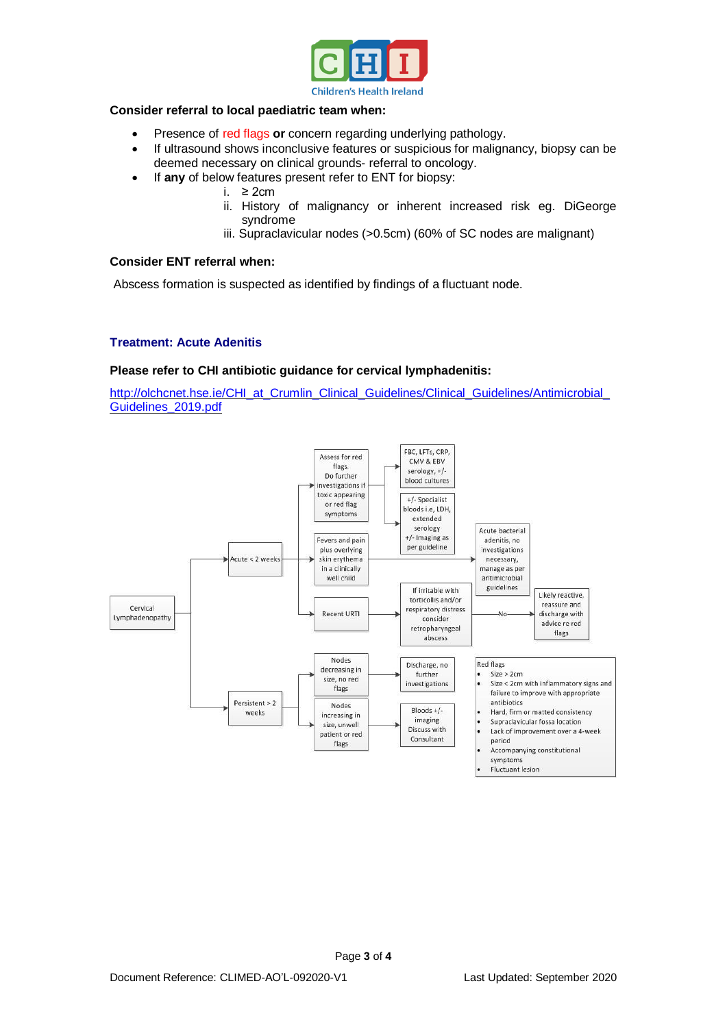

## **Consider referral to local paediatric team when:**

- Presence of red flags **or** concern regarding underlying pathology.
- If ultrasound shows inconclusive features or suspicious for malignancy, biopsy can be deemed necessary on clinical grounds- referral to oncology.
- If **any** of below features present refer to ENT for biopsy:
	- i. ≥ 2cm
	- ii. History of malignancy or inherent increased risk eg. DiGeorge syndrome
	- iii. Supraclavicular nodes (>0.5cm) (60% of SC nodes are malignant)

# **Consider ENT referral when:**

Abscess formation is suspected as identified by findings of a fluctuant node.

#### **Treatment: Acute Adenitis**

#### **Please refer to CHI antibiotic guidance for cervical lymphadenitis:**

[http://olchcnet.hse.ie/CHI\\_at\\_Crumlin\\_Clinical\\_Guidelines/Clinical\\_Guidelines/Antimicrobial\\_](http://olchcnet.hse.ie/CHI_at_Crumlin_Clinical_Guidelines/Clinical_Guidelines/Antimicrobial_Guidelines_2019.pdf) [Guidelines\\_2019.pdf](http://olchcnet.hse.ie/CHI_at_Crumlin_Clinical_Guidelines/Clinical_Guidelines/Antimicrobial_Guidelines_2019.pdf)